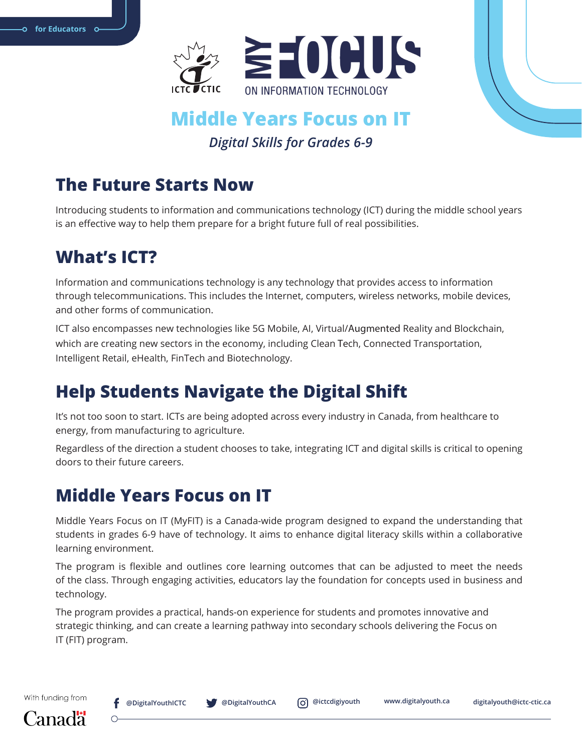

### **Middle Years Focus on IT** *Digital Skills for Grades 6-9*

### **The Future Starts Now**

Introducing students to information and communications technology (ICT) during the middle school years is an effective way to help them prepare for a bright future full of real possibilities.

# **What's ICT?**

Information and communications technology is any technology that provides access to information through telecommunications. This includes the Internet, computers, wireless networks, mobile devices, and other forms of communication.

ICT also encompasses new technologies like 5G Mobile, AI, Virtual/Augmented Reality and Blockchain, which are creating new sectors in the economy, including Clean Tech, Connected Transportation, Intelligent Retail, eHealth, FinTech and Biotechnology.

# **Help Students Navigate the Digital Shift**

It's not too soon to start. ICTs are being adopted across every industry in Canada, from healthcare to energy, from manufacturing to agriculture.

Regardless of the direction a student chooses to take, integrating ICT and digital skills is critical to opening doors to their future careers.

# **Middle Years Focus on IT**

Middle Years Focus on IT (MyFIT) is a Canada-wide program designed to expand the understanding that students in grades 6-9 have of technology. It aims to enhance digital literacy skills within a collaborative learning environment.

The program is flexible and outlines core learning outcomes that can be adjusted to meet the needs of the class. Through engaging activities, educators lay the foundation for concepts used in business and technology.

The program provides a practical, hands-on experience for students and promotes innovative and strategic thinking, and can create a learning pathway into secondary schools delivering the Focus on IT (FIT) program.